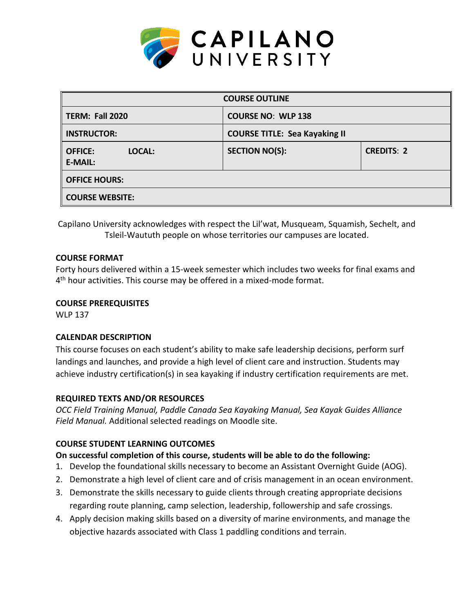

| <b>COURSE OUTLINE</b>                      |                                      |                   |  |  |  |
|--------------------------------------------|--------------------------------------|-------------------|--|--|--|
| TERM: Fall 2020                            | <b>COURSE NO: WLP 138</b>            |                   |  |  |  |
| <b>INSTRUCTOR:</b>                         | <b>COURSE TITLE: Sea Kayaking II</b> |                   |  |  |  |
| <b>OFFICE:</b><br>LOCAL:<br><b>E-MAIL:</b> | <b>SECTION NO(S):</b>                | <b>CREDITS: 2</b> |  |  |  |
| <b>OFFICE HOURS:</b>                       |                                      |                   |  |  |  |
| <b>COURSE WEBSITE:</b>                     |                                      |                   |  |  |  |

Capilano University acknowledges with respect the Lil'wat, Musqueam, Squamish, Sechelt, and Tsleil-Waututh people on whose territories our campuses are located.

# **COURSE FORMAT**

Forty hours delivered within a 15-week semester which includes two weeks for final exams and 4<sup>th</sup> hour activities. This course may be offered in a mixed-mode format.

# **COURSE PREREQUISITES**

WLP 137

# **CALENDAR DESCRIPTION**

This course focuses on each student's ability to make safe leadership decisions, perform surf landings and launches, and provide a high level of client care and instruction. Students may achieve industry certification(s) in sea kayaking if industry certification requirements are met.

# **REQUIRED TEXTS AND/OR RESOURCES**

*OCC Field Training Manual, Paddle Canada Sea Kayaking Manual, Sea Kayak Guides Alliance Field Manual.* Additional selected readings on Moodle site.

# **COURSE STUDENT LEARNING OUTCOMES**

# **On successful completion of this course, students will be able to do the following:**

- 1. Develop the foundational skills necessary to become an Assistant Overnight Guide (AOG).
- 2. Demonstrate a high level of client care and of crisis management in an ocean environment.
- 3. Demonstrate the skills necessary to guide clients through creating appropriate decisions regarding route planning, camp selection, leadership, followership and safe crossings.
- 4. Apply decision making skills based on a diversity of marine environments, and manage the objective hazards associated with Class 1 paddling conditions and terrain.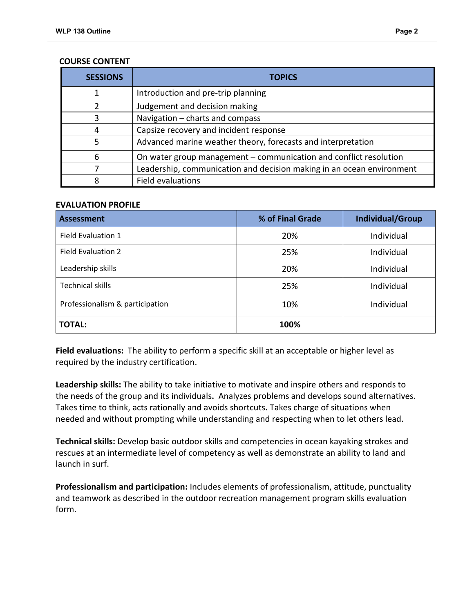| <b>SESSIONS</b> | <b>TOPICS</b>                                                         |
|-----------------|-----------------------------------------------------------------------|
|                 | Introduction and pre-trip planning                                    |
| 2               | Judgement and decision making                                         |
| 3               | Navigation - charts and compass                                       |
| 4               | Capsize recovery and incident response                                |
| 5               | Advanced marine weather theory, forecasts and interpretation          |
| 6               | On water group management – communication and conflict resolution     |
|                 | Leadership, communication and decision making in an ocean environment |
| 8               | Field evaluations                                                     |

#### **COURSE CONTENT**

## **EVALUATION PROFILE**

| <b>Assessment</b>               | % of Final Grade | <b>Individual/Group</b> |
|---------------------------------|------------------|-------------------------|
| <b>Field Evaluation 1</b>       | 20%              | Individual              |
| <b>Field Evaluation 2</b>       | 25%              | Individual              |
| Leadership skills               | 20%              | Individual              |
| <b>Technical skills</b>         | 25%              | Individual              |
| Professionalism & participation | 10%              | Individual              |
| <b>TOTAL:</b>                   | 100%             |                         |

**Field evaluations:** The ability to perform a specific skill at an acceptable or higher level as required by the industry certification.

**Leadership skills:** The ability to take initiative to motivate and inspire others and responds to the needs of the group and its individuals**.** Analyzes problems and develops sound alternatives. Takes time to think, acts rationally and avoids shortcuts**.** Takes charge of situations when needed and without prompting while understanding and respecting when to let others lead.

**Technical skills:** Develop basic outdoor skills and competencies in ocean kayaking strokes and rescues at an intermediate level of competency as well as demonstrate an ability to land and launch in surf.

**Professionalism and participation:** Includes elements of professionalism, attitude, punctuality and teamwork as described in the outdoor recreation management program skills evaluation form.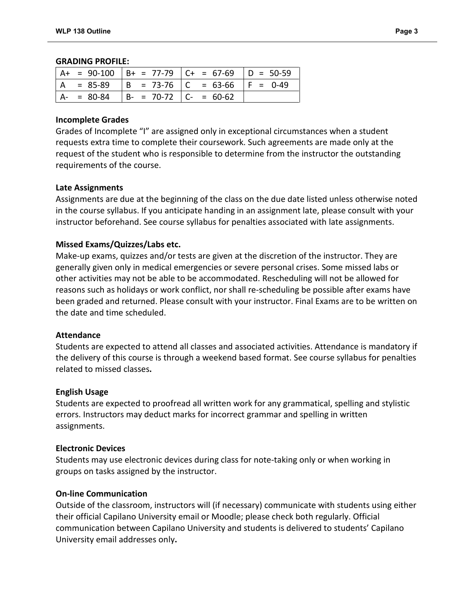#### **GRADING PROFILE:**

|  |                                           | $ $ A+ = 90-100 $ $ B+ = 77-79 $ $ C+ = 67-69 $ $ D = 50-59 |  |
|--|-------------------------------------------|-------------------------------------------------------------|--|
|  |                                           | $ A = 85-89$ $ B = 73-76$ $ C = 63-66$ $ F = 0-49$          |  |
|  | $ A- = 80-84$ $ B- = 70-72$ $ C- = 60-62$ |                                                             |  |

#### **Incomplete Grades**

Grades of Incomplete "I" are assigned only in exceptional circumstances when a student requests extra time to complete their coursework. Such agreements are made only at the request of the student who is responsible to determine from the instructor the outstanding requirements of the course.

## **Late Assignments**

Assignments are due at the beginning of the class on the due date listed unless otherwise noted in the course syllabus. If you anticipate handing in an assignment late, please consult with your instructor beforehand. See course syllabus for penalties associated with late assignments.

## **Missed Exams/Quizzes/Labs etc.**

Make-up exams, quizzes and/or tests are given at the discretion of the instructor. They are generally given only in medical emergencies or severe personal crises. Some missed labs or other activities may not be able to be accommodated. Rescheduling will not be allowed for reasons such as holidays or work conflict, nor shall re-scheduling be possible after exams have been graded and returned. Please consult with your instructor. Final Exams are to be written on the date and time scheduled.

#### **Attendance**

Students are expected to attend all classes and associated activities. Attendance is mandatory if the delivery of this course is through a weekend based format. See course syllabus for penalties related to missed classes**.**

#### **English Usage**

Students are expected to proofread all written work for any grammatical, spelling and stylistic errors. Instructors may deduct marks for incorrect grammar and spelling in written assignments.

#### **Electronic Devices**

Students may use electronic devices during class for note-taking only or when working in groups on tasks assigned by the instructor.

#### **On-line Communication**

Outside of the classroom, instructors will (if necessary) communicate with students using either their official Capilano University email or Moodle; please check both regularly. Official communication between Capilano University and students is delivered to students' Capilano University email addresses only**.**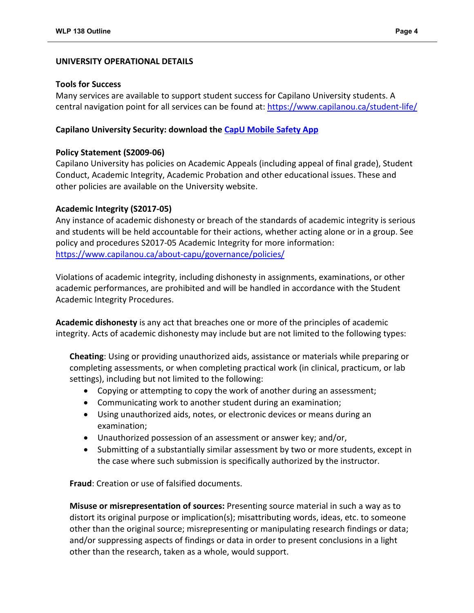#### **UNIVERSITY OPERATIONAL DETAILS**

#### **Tools for Success**

Many services are available to support student success for Capilano University students. A central navigation point for all services can be found at:<https://www.capilanou.ca/student-life/>

# **Capilano University Security: download the [CapU Mobile Safety App](https://www.capilanou.ca/student-life/support--wellness/safety--security/capu-safe-app/)**

## **Policy Statement (S2009-06)**

Capilano University has policies on Academic Appeals (including appeal of final grade), Student Conduct, Academic Integrity, Academic Probation and other educational issues. These and other policies are available on the University website.

## **Academic Integrity (S2017-05)**

Any instance of academic dishonesty or breach of the standards of academic integrity is serious and students will be held accountable for their actions, whether acting alone or in a group. See policy and procedures S2017-05 Academic Integrity for more information: <https://www.capilanou.ca/about-capu/governance/policies/>

Violations of academic integrity, including dishonesty in assignments, examinations, or other academic performances, are prohibited and will be handled in accordance with the Student Academic Integrity Procedures.

**Academic dishonesty** is any act that breaches one or more of the principles of academic integrity. Acts of academic dishonesty may include but are not limited to the following types:

**Cheating**: Using or providing unauthorized aids, assistance or materials while preparing or completing assessments, or when completing practical work (in clinical, practicum, or lab settings), including but not limited to the following:

- Copying or attempting to copy the work of another during an assessment;
- Communicating work to another student during an examination;
- Using unauthorized aids, notes, or electronic devices or means during an examination;
- Unauthorized possession of an assessment or answer key; and/or,
- Submitting of a substantially similar assessment by two or more students, except in the case where such submission is specifically authorized by the instructor.

**Fraud**: Creation or use of falsified documents.

**Misuse or misrepresentation of sources:** Presenting source material in such a way as to distort its original purpose or implication(s); misattributing words, ideas, etc. to someone other than the original source; misrepresenting or manipulating research findings or data; and/or suppressing aspects of findings or data in order to present conclusions in a light other than the research, taken as a whole, would support.